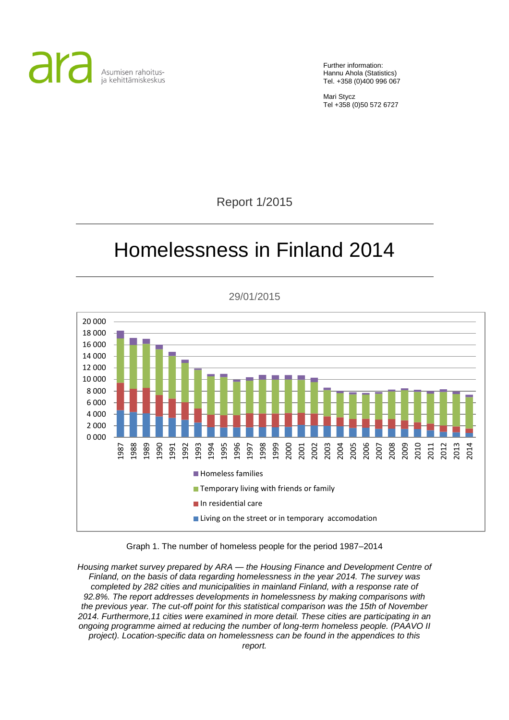

Further information: Hannu Ahola (Statistics) Tel. +358 (0)400 996 067

Mari Stycz Tel +358 (0)50 572 6727

Report 1/2015

# Homelessness in Finland 2014

0 000 2 000 4 000 6 000 8 000 10 000 12 000 14 000 16 000 18 000 20 000 1987 1988 1989 1990 1991 1992 1993 1994 1995 1996 1997 1998 1999 2000 2001 2002 2003 2004 2005 2006 2007 2008 2009 2010 2011 2012 2013 2014 **Homeless families Temporary living with friends or family** In residential care **Living on the street or in temporary accomodation** 

29/01/2015

Graph 1. The number of homeless people for the period 1987–2014

*Housing market survey prepared by ARA — the Housing Finance and Development Centre of Finland, on the basis of data regarding homelessness in the year 2014. The survey was completed by 282 cities and municipalities in mainland Finland, with a response rate of 92.8%. The report addresses developments in homelessness by making comparisons with the previous year. The cut-off point for this statistical comparison was the 15th of November 2014. Furthermore,11 cities were examined in more detail. These cities are participating in an ongoing programme aimed at reducing the number of long-term homeless people. (PAAVO II project). Location-specific data on homelessness can be found in the appendices to this*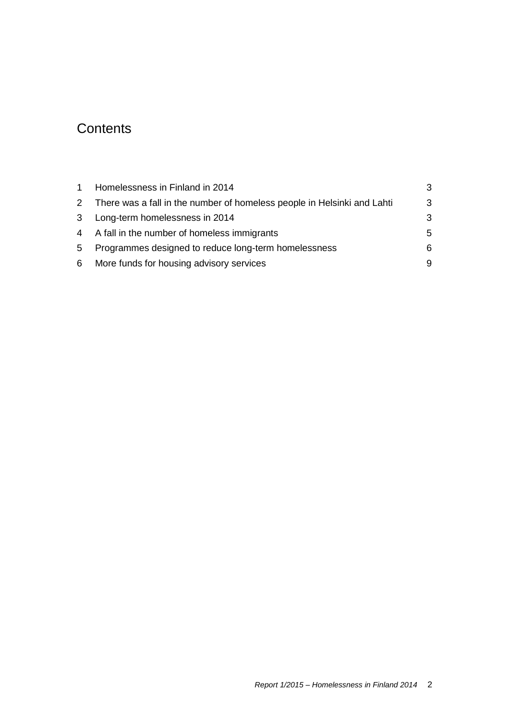## **Contents**

| $1 \quad$ | Homelessness in Finland in 2014                                           | 3  |
|-----------|---------------------------------------------------------------------------|----|
|           | 2 There was a fall in the number of homeless people in Helsinki and Lahti | 3  |
|           | 3 Long-term homelessness in 2014                                          | 3  |
|           | 4 A fall in the number of homeless immigrants                             | .5 |
| 5         | Programmes designed to reduce long-term homelessness                      | 6  |
| 6         | More funds for housing advisory services                                  | 9  |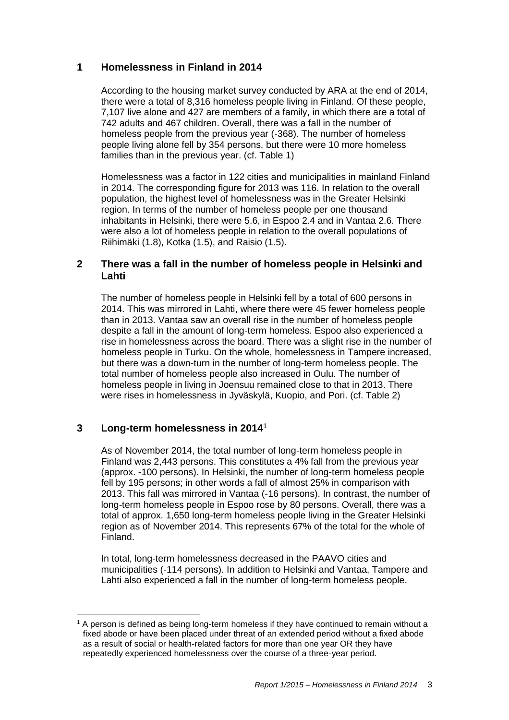## <span id="page-2-0"></span>**1 Homelessness in Finland in 2014**

According to the housing market survey conducted by ARA at the end of 2014, there were a total of 8,316 homeless people living in Finland. Of these people, 7,107 live alone and 427 are members of a family, in which there are a total of 742 adults and 467 children. Overall, there was a fall in the number of homeless people from the previous year (-368). The number of homeless people living alone fell by 354 persons, but there were 10 more homeless families than in the previous year. (cf. Table 1)

Homelessness was a factor in 122 cities and municipalities in mainland Finland in 2014. The corresponding figure for 2013 was 116. In relation to the overall population, the highest level of homelessness was in the Greater Helsinki region. In terms of the number of homeless people per one thousand inhabitants in Helsinki, there were 5.6, in Espoo 2.4 and in Vantaa 2.6. There were also a lot of homeless people in relation to the overall populations of Riihimäki (1.8), Kotka (1.5), and Raisio (1.5).

## <span id="page-2-1"></span>**2 There was a fall in the number of homeless people in Helsinki and Lahti**

The number of homeless people in Helsinki fell by a total of 600 persons in 2014. This was mirrored in Lahti, where there were 45 fewer homeless people than in 2013. Vantaa saw an overall rise in the number of homeless people despite a fall in the amount of long-term homeless. Espoo also experienced a rise in homelessness across the board. There was a slight rise in the number of homeless people in Turku. On the whole, homelessness in Tampere increased, but there was a down-turn in the number of long-term homeless people. The total number of homeless people also increased in Oulu. The number of homeless people in living in Joensuu remained close to that in 2013. There were rises in homelessness in Jyväskylä, Kuopio, and Pori. (cf. Table 2)

## <span id="page-2-2"></span>**3 Long-term homelessness in 2014**<sup>1</sup>

 $\overline{a}$ 

As of November 2014, the total number of long-term homeless people in Finland was 2,443 persons. This constitutes a 4% fall from the previous year (approx. -100 persons). In Helsinki, the number of long-term homeless people fell by 195 persons; in other words a fall of almost 25% in comparison with 2013. This fall was mirrored in Vantaa (-16 persons). In contrast, the number of long-term homeless people in Espoo rose by 80 persons. Overall, there was a total of approx. 1,650 long-term homeless people living in the Greater Helsinki region as of November 2014. This represents 67% of the total for the whole of Finland.

In total, long-term homelessness decreased in the PAAVO cities and municipalities (-114 persons). In addition to Helsinki and Vantaa, Tampere and Lahti also experienced a fall in the number of long-term homeless people.

<sup>&</sup>lt;sup>1</sup> A person is defined as being long-term homeless if they have continued to remain without a fixed abode or have been placed under threat of an extended period without a fixed abode as a result of social or health-related factors for more than one year OR they have repeatedly experienced homelessness over the course of a three-year period.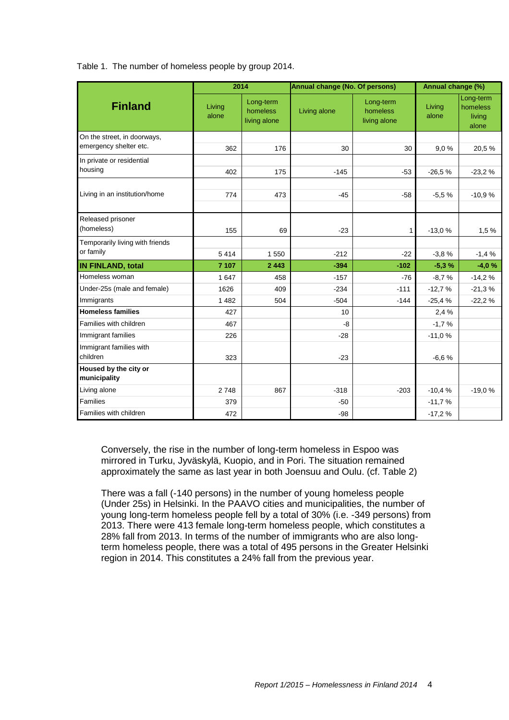Table 1. The number of homeless people by group 2014.

|                                       | 2014            |                                       | Annual change (No. Of persons) | Annual change (%)                     |                 |                                          |
|---------------------------------------|-----------------|---------------------------------------|--------------------------------|---------------------------------------|-----------------|------------------------------------------|
| <b>Finland</b>                        | Living<br>alone | Long-term<br>homeless<br>living alone | Living alone                   | Long-term<br>homeless<br>living alone | Living<br>alone | Long-term<br>homeless<br>living<br>alone |
| On the street, in doorways,           |                 |                                       |                                |                                       |                 |                                          |
| emergency shelter etc.                | 362             | 176                                   | 30                             | 30                                    | 9,0%            | 20,5%                                    |
| In private or residential             |                 |                                       |                                |                                       |                 |                                          |
| housing                               | 402             | 175                                   | $-145$                         | $-53$                                 | $-26,5%$        | $-23,2%$                                 |
|                                       |                 |                                       |                                |                                       |                 |                                          |
| Living in an institution/home         | 774             | 473                                   | $-45$                          | $-58$                                 | $-5,5%$         | $-10,9%$                                 |
|                                       |                 |                                       |                                |                                       |                 |                                          |
| Released prisoner                     |                 |                                       |                                |                                       |                 |                                          |
| (homeless)                            | 155             | 69                                    | $-23$                          | 1                                     | $-13,0%$        | 1,5%                                     |
| Temporarily living with friends       |                 |                                       |                                |                                       |                 |                                          |
| or family                             | 5414            | 1 550                                 | $-212$                         | $-22$                                 | $-3,8%$         | $-1,4%$                                  |
| <b>IN FINLAND, total</b>              | 7 107           | 2 4 4 3                               | $-394$                         | $-102$                                | $-5,3%$         | $-4.0%$                                  |
| Homeless woman                        | 1 647           | 458                                   | $-157$                         | $-76$                                 | $-8,7%$         | $-14,2%$                                 |
| Under-25s (male and female)           | 1626            | 409                                   | $-234$                         | $-111$                                | $-12,7%$        | $-21,3%$                                 |
| Immigrants                            | 1 4 8 2         | 504                                   | $-504$                         | $-144$                                | $-25,4%$        | $-22,2%$                                 |
| <b>Homeless families</b>              | 427             |                                       | 10                             |                                       | 2,4 %           |                                          |
| Families with children                | 467             |                                       | $-8$                           |                                       | $-1,7%$         |                                          |
| Immigrant families                    | 226             |                                       | $-28$                          |                                       | $-11,0%$        |                                          |
| Immigrant families with               |                 |                                       |                                |                                       |                 |                                          |
| children                              | 323             |                                       | $-23$                          |                                       | $-6,6%$         |                                          |
| Housed by the city or<br>municipality |                 |                                       |                                |                                       |                 |                                          |
| Living alone                          | 2748            | 867                                   | $-318$                         | $-203$                                | $-10,4%$        | $-19,0%$                                 |
| Families                              | 379             |                                       | $-50$                          |                                       | $-11,7%$        |                                          |
| Families with children                | 472             |                                       | $-98$                          |                                       | $-17,2%$        |                                          |

Conversely, the rise in the number of long-term homeless in Espoo was mirrored in Turku, Jyväskylä, Kuopio, and in Pori. The situation remained approximately the same as last year in both Joensuu and Oulu. (cf. Table 2)

There was a fall (-140 persons) in the number of young homeless people (Under 25s) in Helsinki. In the PAAVO cities and municipalities, the number of young long-term homeless people fell by a total of 30% (i.e. -349 persons) from 2013. There were 413 female long-term homeless people, which constitutes a 28% fall from 2013. In terms of the number of immigrants who are also longterm homeless people, there was a total of 495 persons in the Greater Helsinki region in 2014. This constitutes a 24% fall from the previous year.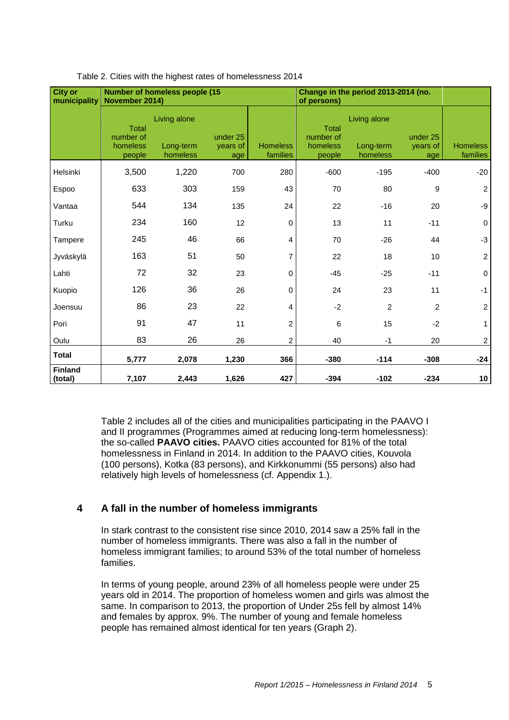| <b>City or</b><br>municipality | November 2014)                                  | <b>Number of homeless people (15</b>  |                             | Change in the period 2013-2014 (no.<br>of persons) |                                                 |                                       |                             |                             |
|--------------------------------|-------------------------------------------------|---------------------------------------|-----------------------------|----------------------------------------------------|-------------------------------------------------|---------------------------------------|-----------------------------|-----------------------------|
|                                | <b>Total</b><br>number of<br>homeless<br>people | Living alone<br>Long-term<br>homeless | under 25<br>vears of<br>age | <b>Homeless</b><br>families                        | <b>Total</b><br>number of<br>homeless<br>people | Living alone<br>Long-term<br>homeless | under 25<br>years of<br>age | <b>Homeless</b><br>families |
| Helsinki                       | 3,500                                           | 1,220                                 | 700                         | 280                                                | $-600$                                          | $-195$                                | $-400$                      | $-20$                       |
| Espoo                          | 633                                             | 303                                   | 159                         | 43                                                 | 70                                              | 80                                    | $\boldsymbol{9}$            | 2                           |
| Vantaa                         | 544                                             | 134                                   | 135                         | 24                                                 | 22                                              | $-16$                                 | 20                          | -9                          |
| Turku                          | 234                                             | 160                                   | 12                          | $\mathbf 0$                                        | 13                                              | 11                                    | $-11$                       | 0                           |
| Tampere                        | 245                                             | 46                                    | 66                          | 4                                                  | 70                                              | $-26$                                 | 44                          | $-3$                        |
| Jyväskylä                      | 163                                             | 51                                    | 50                          | $\overline{7}$                                     | 22                                              | 18                                    | 10                          | $\sqrt{2}$                  |
| Lahti                          | 72                                              | 32                                    | 23                          | 0                                                  | $-45$                                           | $-25$                                 | $-11$                       | $\mathbf 0$                 |
| Kuopio                         | 126                                             | 36                                    | 26                          | $\Omega$                                           | 24                                              | 23                                    | 11                          | $-1$                        |
| Joensuu                        | 86                                              | 23                                    | 22                          | 4                                                  | $-2$                                            | $\overline{2}$                        | $\overline{2}$              | $\overline{c}$              |
| Pori                           | 91                                              | 47                                    | 11                          | 2                                                  | 6                                               | 15                                    | $-2$                        |                             |
| Oulu                           | 83                                              | 26                                    | 26                          | $\overline{c}$                                     | 40                                              | $-1$                                  | 20                          | $\boldsymbol{2}$            |
| <b>Total</b>                   | 5,777                                           | 2,078                                 | 1,230                       | 366                                                | $-380$                                          | $-114$                                | $-308$                      | $-24$                       |
| Finland<br>(total)             | 7,107                                           | 2,443                                 | 1,626                       | 427                                                | $-394$                                          | $-102$                                | $-234$                      | 10                          |

#### Table 2. Cities with the highest rates of homelessness 2014

Table 2 includes all of the cities and municipalities participating in the PAAVO I and II programmes (Programmes aimed at reducing long-term homelessness): the so-called **PAAVO cities.** PAAVO cities accounted for 81% of the total homelessness in Finland in 2014. In addition to the PAAVO cities, Kouvola (100 persons), Kotka (83 persons), and Kirkkonummi (55 persons) also had relatively high levels of homelessness (cf. Appendix 1.).

## <span id="page-4-0"></span>**4 A fall in the number of homeless immigrants**

In stark contrast to the consistent rise since 2010, 2014 saw a 25% fall in the number of homeless immigrants. There was also a fall in the number of homeless immigrant families; to around 53% of the total number of homeless families.

In terms of young people, around 23% of all homeless people were under 25 years old in 2014. The proportion of homeless women and girls was almost the same. In comparison to 2013, the proportion of Under 25s fell by almost 14% and females by approx. 9%. The number of young and female homeless people has remained almost identical for ten years (Graph 2).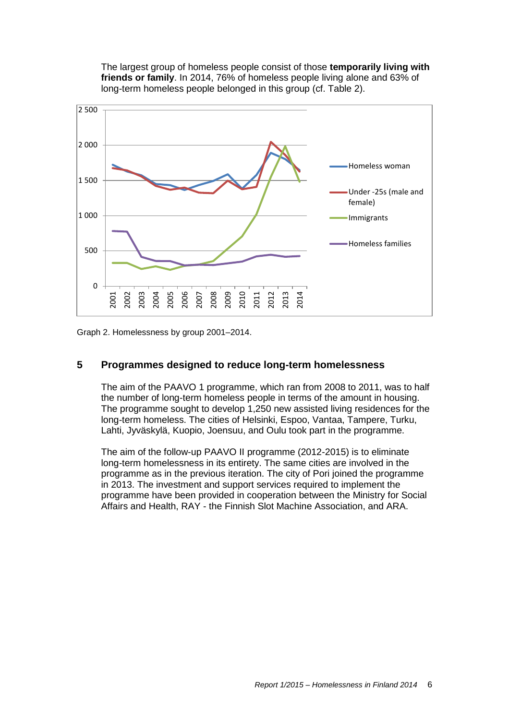The largest group of homeless people consist of those **temporarily living with friends or family**. In 2014, 76% of homeless people living alone and 63% of long-term homeless people belonged in this group (cf. Table 2).



Graph 2. Homelessness by group 2001–2014.

## <span id="page-5-0"></span>**5 Programmes designed to reduce long-term homelessness**

The aim of the PAAVO 1 programme, which ran from 2008 to 2011, was to half the number of long-term homeless people in terms of the amount in housing. The programme sought to develop 1,250 new assisted living residences for the long-term homeless. The cities of Helsinki, Espoo, Vantaa, Tampere, Turku, Lahti, Jyväskylä, Kuopio, Joensuu, and Oulu took part in the programme.

The aim of the follow-up PAAVO II programme (2012-2015) is to eliminate long-term homelessness in its entirety. The same cities are involved in the programme as in the previous iteration. The city of Pori joined the programme in 2013. The investment and support services required to implement the programme have been provided in cooperation between the Ministry for Social Affairs and Health, RAY - the Finnish Slot Machine Association, and ARA.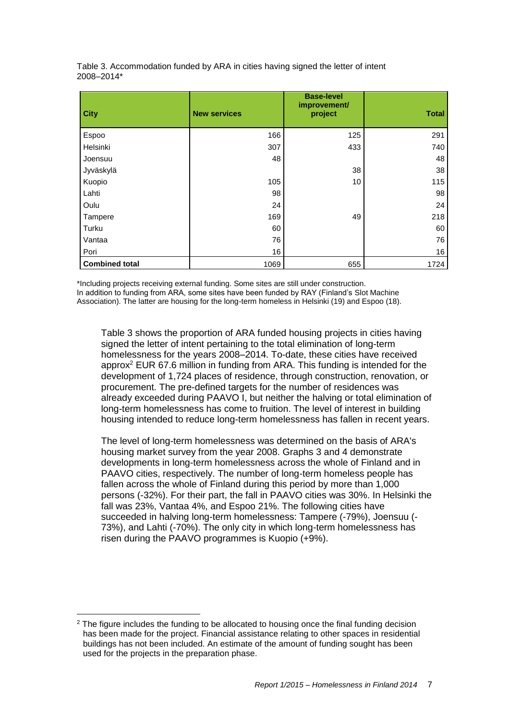| <b>City</b>           | <b>New services</b> | <b>Base-level</b><br>improvement/<br>project | <b>Total</b> |
|-----------------------|---------------------|----------------------------------------------|--------------|
| Espoo                 | 166                 | 125                                          | 291          |
| Helsinki              | 307                 | 433                                          | 740          |
| Joensuu               | 48                  |                                              | 48           |
| Jyväskylä             |                     | 38                                           | 38           |
| Kuopio                | 105                 | 10                                           | 115          |
| Lahti                 | 98                  |                                              | 98           |
| Oulu                  | 24                  |                                              | 24           |
| Tampere               | 169                 | 49                                           | 218          |
| Turku                 | 60                  |                                              | 60           |
| Vantaa                | 76                  |                                              | 76           |
| Pori                  | 16                  |                                              | 16           |
| <b>Combined total</b> | 1069                | 655                                          | 1724         |

Table 3. Accommodation funded by ARA in cities having signed the letter of intent 2008–2014\*

\*Including projects receiving external funding. Some sites are still under construction. In addition to funding from ARA, some sites have been funded by RAY (Finland's Slot Machine Association). The latter are housing for the long-term homeless in Helsinki (19) and Espoo (18).

Table 3 shows the proportion of ARA funded housing projects in cities having signed the letter of intent pertaining to the total elimination of long-term homelessness for the years 2008–2014. To-date, these cities have received approx<sup>2</sup> EUR 67.6 million in funding from ARA. This funding is intended for the development of 1,724 places of residence, through construction, renovation, or procurement. The pre-defined targets for the number of residences was already exceeded during PAAVO I, but neither the halving or total elimination of long-term homelessness has come to fruition. The level of interest in building housing intended to reduce long-term homelessness has fallen in recent years.

The level of long-term homelessness was determined on the basis of ARA's housing market survey from the year 2008. Graphs 3 and 4 demonstrate developments in long-term homelessness across the whole of Finland and in PAAVO cities, respectively. The number of long-term homeless people has fallen across the whole of Finland during this period by more than 1,000 persons (-32%). For their part, the fall in PAAVO cities was 30%. In Helsinki the fall was 23%, Vantaa 4%, and Espoo 21%. The following cities have succeeded in halving long-term homelessness: Tampere (-79%), Joensuu (- 73%), and Lahti (-70%). The only city in which long-term homelessness has risen during the PAAVO programmes is Kuopio (+9%).

 $\overline{a}$ 

<sup>&</sup>lt;sup>2</sup> The figure includes the funding to be allocated to housing once the final funding decision has been made for the project. Financial assistance relating to other spaces in residential buildings has not been included. An estimate of the amount of funding sought has been used for the projects in the preparation phase.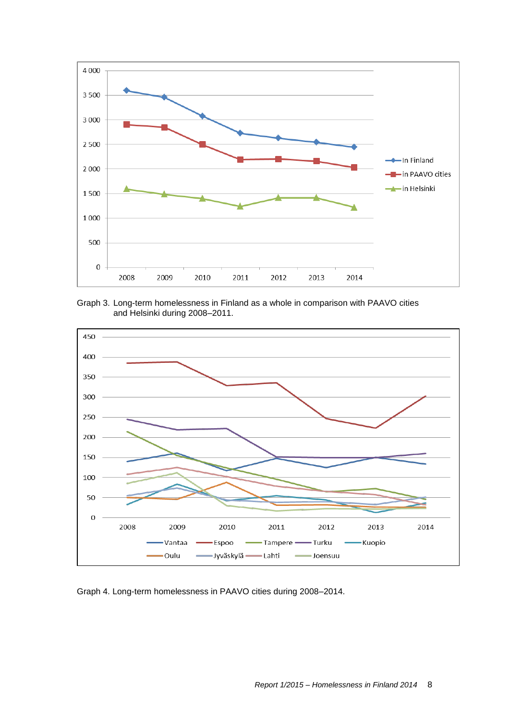

Graph 3. Long-term homelessness in Finland as a whole in comparison with PAAVO cities and Helsinki during 2008–2011.



Graph 4. Long-term homelessness in PAAVO cities during 2008–2014.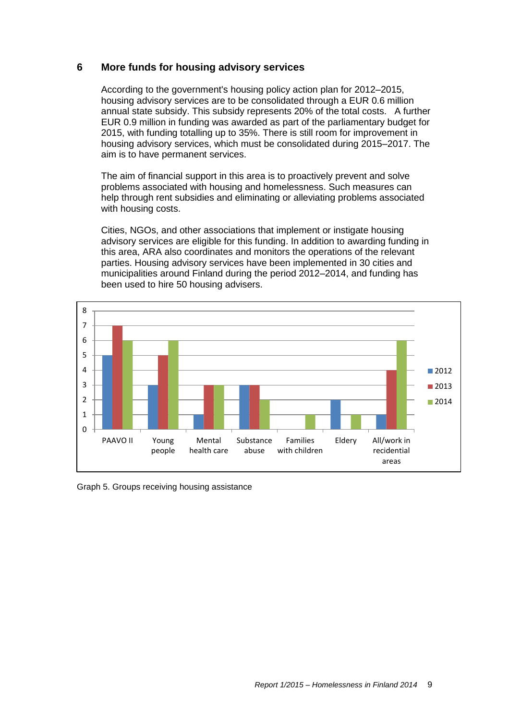## <span id="page-8-0"></span>**6 More funds for housing advisory services**

According to the government's housing policy action plan for 2012–2015, housing advisory services are to be consolidated through a EUR 0.6 million annual state subsidy. This subsidy represents 20% of the total costs. A further EUR 0.9 million in funding was awarded as part of the parliamentary budget for 2015, with funding totalling up to 35%. There is still room for improvement in housing advisory services, which must be consolidated during 2015–2017. The aim is to have permanent services.

The aim of financial support in this area is to proactively prevent and solve problems associated with housing and homelessness. Such measures can help through rent subsidies and eliminating or alleviating problems associated with housing costs.

Cities, NGOs, and other associations that implement or instigate housing advisory services are eligible for this funding. In addition to awarding funding in this area, ARA also coordinates and monitors the operations of the relevant parties. Housing advisory services have been implemented in 30 cities and municipalities around Finland during the period 2012–2014, and funding has been used to hire 50 housing advisers.



Graph 5. Groups receiving housing assistance